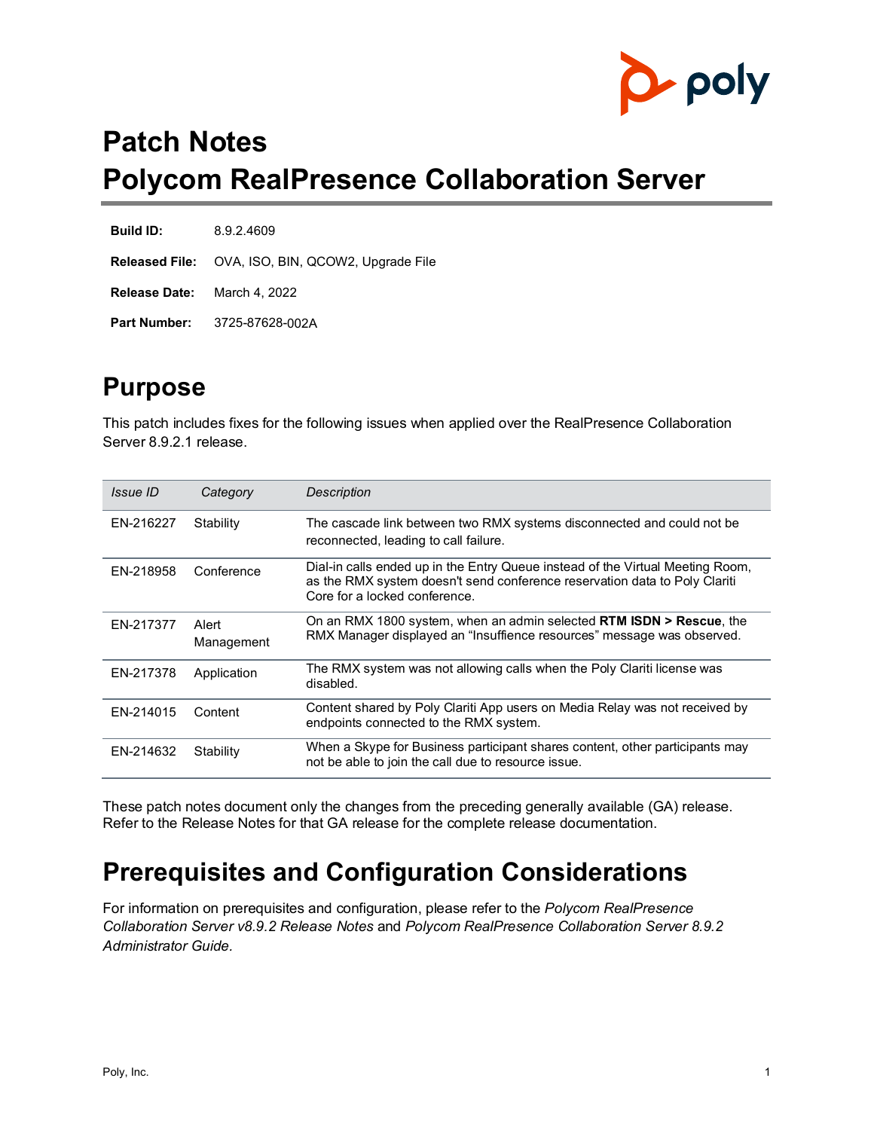

## **Patch Notes Polycom RealPresence Collaboration Server**

**Build ID:** 8.9.2.4609

**Released File:** OVA, ISO, BIN, QCOW2, Upgrade File

**Release Date:** March 4, 2022

**Part Number:** 3725-87628-002A

## **Purpose**

This patch includes fixes for the following issues when applied over the RealPresence Collaboration Server 8.9.2.1 release.

| <i>Issue ID</i> | Category            | Description                                                                                                                                                                                   |
|-----------------|---------------------|-----------------------------------------------------------------------------------------------------------------------------------------------------------------------------------------------|
| EN-216227       | Stability           | The cascade link between two RMX systems disconnected and could not be<br>reconnected, leading to call failure.                                                                               |
| EN-218958       | Conference          | Dial-in calls ended up in the Entry Queue instead of the Virtual Meeting Room,<br>as the RMX system doesn't send conference reservation data to Poly Clariti<br>Core for a locked conference. |
| EN-217377       | Alert<br>Management | On an RMX 1800 system, when an admin selected <b>RTM ISDN &gt; Rescue</b> , the<br>RMX Manager displayed an "Insuffience resources" message was observed.                                     |
| EN-217378       | Application         | The RMX system was not allowing calls when the Poly Clariti license was<br>disabled.                                                                                                          |
| FN-214015       | Content             | Content shared by Poly Clariti App users on Media Relay was not received by<br>endpoints connected to the RMX system.                                                                         |
| EN-214632       | Stability           | When a Skype for Business participant shares content, other participants may<br>not be able to join the call due to resource issue.                                                           |

These patch notes document only the changes from the preceding generally available (GA) release. Refer to the Release Notes for that GA release for the complete release documentation.

## **Prerequisites and Configuration Considerations**

For information on prerequisites and configuration, please refer to the *Polycom RealPresence Collaboration Server v8.9.2 Release Notes* and *Polycom RealPresence Collaboration Server 8.9.2 Administrator Guide.*